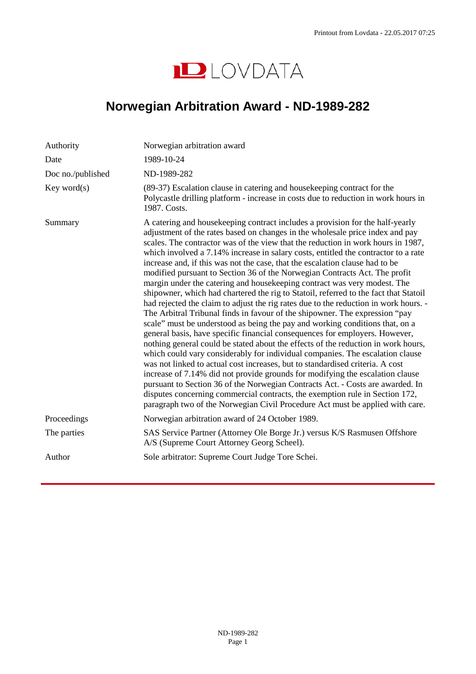

## <span id="page-0-0"></span>**Norwegian Arbitration Award - ND-1989-282**

| Authority         | Norwegian arbitration award                                                                                                                                                                                                                                                                                                                                                                                                                                                                                                                                                                                                                                                                                                                                                                                                                                                                                                                                                                                                                                                                                                                                                                                                                                                                                                                                                                                                                                                                                                                                                                                  |
|-------------------|--------------------------------------------------------------------------------------------------------------------------------------------------------------------------------------------------------------------------------------------------------------------------------------------------------------------------------------------------------------------------------------------------------------------------------------------------------------------------------------------------------------------------------------------------------------------------------------------------------------------------------------------------------------------------------------------------------------------------------------------------------------------------------------------------------------------------------------------------------------------------------------------------------------------------------------------------------------------------------------------------------------------------------------------------------------------------------------------------------------------------------------------------------------------------------------------------------------------------------------------------------------------------------------------------------------------------------------------------------------------------------------------------------------------------------------------------------------------------------------------------------------------------------------------------------------------------------------------------------------|
| Date              | 1989-10-24                                                                                                                                                                                                                                                                                                                                                                                                                                                                                                                                                                                                                                                                                                                                                                                                                                                                                                                                                                                                                                                                                                                                                                                                                                                                                                                                                                                                                                                                                                                                                                                                   |
| Doc no./published | ND-1989-282                                                                                                                                                                                                                                                                                                                                                                                                                                                                                                                                                                                                                                                                                                                                                                                                                                                                                                                                                                                                                                                                                                                                                                                                                                                                                                                                                                                                                                                                                                                                                                                                  |
| Key word(s)       | (89-37) Escalation clause in catering and house keeping contract for the<br>Polycastle drilling platform - increase in costs due to reduction in work hours in<br>1987. Costs.                                                                                                                                                                                                                                                                                                                                                                                                                                                                                                                                                                                                                                                                                                                                                                                                                                                                                                                                                                                                                                                                                                                                                                                                                                                                                                                                                                                                                               |
| Summary           | A catering and house keeping contract includes a provision for the half-yearly<br>adjustment of the rates based on changes in the wholesale price index and pay<br>scales. The contractor was of the view that the reduction in work hours in 1987,<br>which involved a 7.14% increase in salary costs, entitled the contractor to a rate<br>increase and, if this was not the case, that the escalation clause had to be<br>modified pursuant to Section 36 of the Norwegian Contracts Act. The profit<br>margin under the catering and housekeeping contract was very modest. The<br>shipowner, which had chartered the rig to Statoil, referred to the fact that Statoil<br>had rejected the claim to adjust the rig rates due to the reduction in work hours. -<br>The Arbitral Tribunal finds in favour of the shipowner. The expression "pay<br>scale" must be understood as being the pay and working conditions that, on a<br>general basis, have specific financial consequences for employers. However,<br>nothing general could be stated about the effects of the reduction in work hours,<br>which could vary considerably for individual companies. The escalation clause<br>was not linked to actual cost increases, but to standardised criteria. A cost<br>increase of 7.14% did not provide grounds for modifying the escalation clause<br>pursuant to Section 36 of the Norwegian Contracts Act. - Costs are awarded. In<br>disputes concerning commercial contracts, the exemption rule in Section 172,<br>paragraph two of the Norwegian Civil Procedure Act must be applied with care. |
| Proceedings       | Norwegian arbitration award of 24 October 1989.                                                                                                                                                                                                                                                                                                                                                                                                                                                                                                                                                                                                                                                                                                                                                                                                                                                                                                                                                                                                                                                                                                                                                                                                                                                                                                                                                                                                                                                                                                                                                              |
| The parties       | SAS Service Partner (Attorney Ole Borge Jr.) versus K/S Rasmusen Offshore<br>A/S (Supreme Court Attorney Georg Scheel).                                                                                                                                                                                                                                                                                                                                                                                                                                                                                                                                                                                                                                                                                                                                                                                                                                                                                                                                                                                                                                                                                                                                                                                                                                                                                                                                                                                                                                                                                      |
| Author            | Sole arbitrator: Supreme Court Judge Tore Schei.                                                                                                                                                                                                                                                                                                                                                                                                                                                                                                                                                                                                                                                                                                                                                                                                                                                                                                                                                                                                                                                                                                                                                                                                                                                                                                                                                                                                                                                                                                                                                             |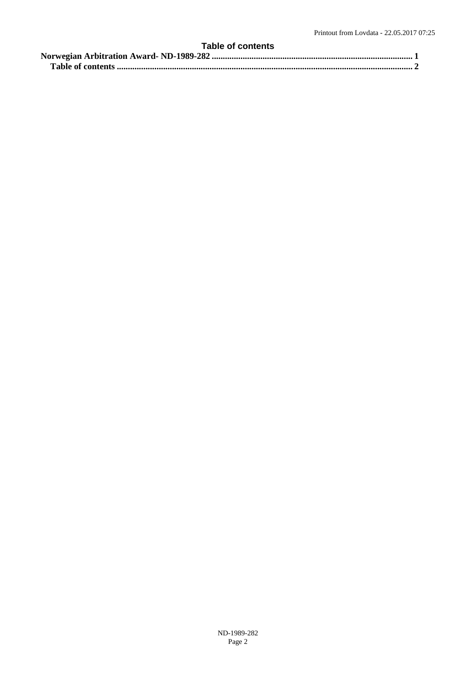## <span id="page-1-0"></span>**Table of contents [Norwegian Arbitration Award- ND-1989-282 ........................................................................................... 1](#page-0-0) [Table of contents ...................................................................................................................................... 2](#page-1-0)**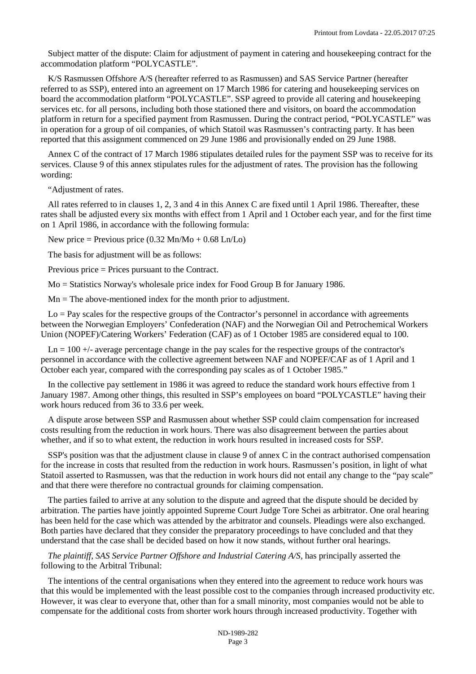Subject matter of the dispute: Claim for adjustment of payment in catering and housekeeping contract for the accommodation platform "POLYCASTLE".

K/S Rasmussen Offshore A/S (hereafter referred to as Rasmussen) and SAS Service Partner (hereafter referred to as SSP), entered into an agreement on 17 March 1986 for catering and housekeeping services on board the accommodation platform "POLYCASTLE". SSP agreed to provide all catering and housekeeping services etc. for all persons, including both those stationed there and visitors, on board the accommodation platform in return for a specified payment from Rasmussen. During the contract period, "POLYCASTLE" was in operation for a group of oil companies, of which Statoil was Rasmussen's contracting party. It has been reported that this assignment commenced on 29 June 1986 and provisionally ended on 29 June 1988.

Annex C of the contract of 17 March 1986 stipulates detailed rules for the payment SSP was to receive for its services. Clause 9 of this annex stipulates rules for the adjustment of rates. The provision has the following wording:

"Adjustment of rates.

All rates referred to in clauses 1, 2, 3 and 4 in this Annex C are fixed until 1 April 1986. Thereafter, these rates shall be adjusted every six months with effect from 1 April and 1 October each year, and for the first time on 1 April 1986, in accordance with the following formula:

New price = Previous price  $(0.32 \text{ Mn/Mo} + 0.68 \text{ Ln/Lo})$ 

The basis for adjustment will be as follows:

Previous price = Prices pursuant to the Contract.

Mo = Statistics Norway's wholesale price index for Food Group B for January 1986.

 $Mn = The above-mentioned index for the month prior to adjustment.$ 

 $Lo = Pay$  scales for the respective groups of the Contractor's personnel in accordance with agreements between the Norwegian Employers' Confederation (NAF) and the Norwegian Oil and Petrochemical Workers Union (NOPEF)/Catering Workers' Federation (CAF) as of 1 October 1985 are considered equal to 100.

 $Ln = 100 +$ - average percentage change in the pay scales for the respective groups of the contractor's personnel in accordance with the collective agreement between NAF and NOPEF/CAF as of 1 April and 1 October each year, compared with the corresponding pay scales as of 1 October 1985."

In the collective pay settlement in 1986 it was agreed to reduce the standard work hours effective from 1 January 1987. Among other things, this resulted in SSP's employees on board "POLYCASTLE" having their work hours reduced from 36 to 33.6 per week.

A dispute arose between SSP and Rasmussen about whether SSP could claim compensation for increased costs resulting from the reduction in work hours. There was also disagreement between the parties about whether, and if so to what extent, the reduction in work hours resulted in increased costs for SSP.

SSP's position was that the adjustment clause in clause 9 of annex C in the contract authorised compensation for the increase in costs that resulted from the reduction in work hours. Rasmussen's position, in light of what Statoil asserted to Rasmussen, was that the reduction in work hours did not entail any change to the "pay scale" and that there were therefore no contractual grounds for claiming compensation.

The parties failed to arrive at any solution to the dispute and agreed that the dispute should be decided by arbitration. The parties have jointly appointed Supreme Court Judge Tore Schei as arbitrator. One oral hearing has been held for the case which was attended by the arbitrator and counsels. Pleadings were also exchanged. Both parties have declared that they consider the preparatory proceedings to have concluded and that they understand that the case shall be decided based on how it now stands, without further oral hearings.

*The plaintiff, SAS Service Partner Offshore and Industrial Catering A/S,* has principally asserted the following to the Arbitral Tribunal:

The intentions of the central organisations when they entered into the agreement to reduce work hours was that this would be implemented with the least possible cost to the companies through increased productivity etc. However, it was clear to everyone that, other than for a small minority, most companies would not be able to compensate for the additional costs from shorter work hours through increased productivity. Together with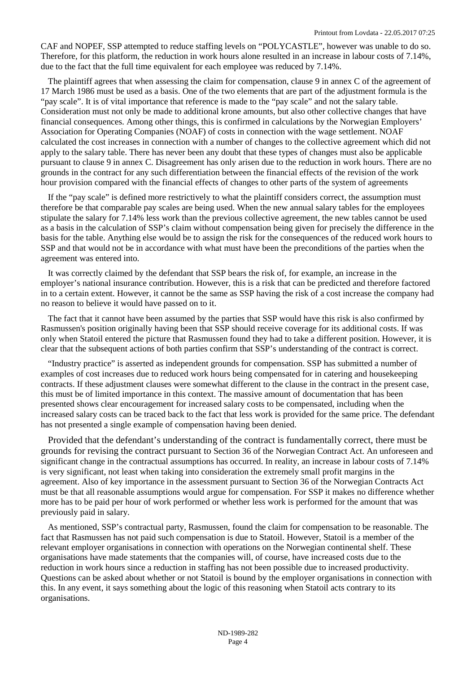CAF and NOPEF, SSP attempted to reduce staffing levels on "POLYCASTLE", however was unable to do so. Therefore, for this platform, the reduction in work hours alone resulted in an increase in labour costs of 7.14%, due to the fact that the full time equivalent for each employee was reduced by 7.14%.

The plaintiff agrees that when assessing the claim for compensation, clause 9 in annex C of the agreement of 17 March 1986 must be used as a basis. One of the two elements that are part of the adjustment formula is the "pay scale". It is of vital importance that reference is made to the "pay scale" and not the salary table. Consideration must not only be made to additional krone amounts, but also other collective changes that have financial consequences. Among other things, this is confirmed in calculations by the Norwegian Employers' Association for Operating Companies (NOAF) of costs in connection with the wage settlement. NOAF calculated the cost increases in connection with a number of changes to the collective agreement which did not apply to the salary table. There has never been any doubt that these types of changes must also be applicable pursuant to clause 9 in annex C. Disagreement has only arisen due to the reduction in work hours. There are no grounds in the contract for any such differentiation between the financial effects of the revision of the work hour provision compared with the financial effects of changes to other parts of the system of agreements

If the "pay scale" is defined more restrictively to what the plaintiff considers correct, the assumption must therefore be that comparable pay scales are being used. When the new annual salary tables for the employees stipulate the salary for 7.14% less work than the previous collective agreement, the new tables cannot be used as a basis in the calculation of SSP's claim without compensation being given for precisely the difference in the basis for the table. Anything else would be to assign the risk for the consequences of the reduced work hours to SSP and that would not be in accordance with what must have been the preconditions of the parties when the agreement was entered into.

It was correctly claimed by the defendant that SSP bears the risk of, for example, an increase in the employer's national insurance contribution. However, this is a risk that can be predicted and therefore factored in to a certain extent. However, it cannot be the same as SSP having the risk of a cost increase the company had no reason to believe it would have passed on to it.

The fact that it cannot have been assumed by the parties that SSP would have this risk is also confirmed by Rasmussen's position originally having been that SSP should receive coverage for its additional costs. If was only when Statoil entered the picture that Rasmussen found they had to take a different position. However, it is clear that the subsequent actions of both parties confirm that SSP's understanding of the contract is correct.

"Industry practice" is asserted as independent grounds for compensation. SSP has submitted a number of examples of cost increases due to reduced work hours being compensated for in catering and housekeeping contracts. If these adjustment clauses were somewhat different to the clause in the contract in the present case, this must be of limited importance in this context. The massive amount of documentation that has been presented shows clear encouragement for increased salary costs to be compensated, including when the increased salary costs can be traced back to the fact that less work is provided for the same price. The defendant has not presented a single example of compensation having been denied.

Provided that the defendant's understanding of the contract is fundamentally correct, there must be grounds for revising the contract pursuant to [Section 36 of the Norwegian Contract Act](http://www.lovdata.no/pro#reference/lov/1918-05-31-4/�36). An unforeseen and significant change in the contractual assumptions has occurred. In reality, an increase in labour costs of 7.14% is very significant, not least when taking into consideration the extremely small profit margins in the agreement. Also of key importance in the assessment pursuant to [Section 36 of the Norwegian Contracts Act](http://www.lovdata.no/pro#reference/lov/1918-05-31-4/�36)  must be that all reasonable assumptions would argue for compensation. For SSP it makes no difference whether more has to be paid per hour of work performed or whether less work is performed for the amount that was previously paid in salary.

As mentioned, SSP's contractual party, Rasmussen, found the claim for compensation to be reasonable. The fact that Rasmussen has not paid such compensation is due to Statoil. However, Statoil is a member of the relevant employer organisations in connection with operations on the Norwegian continental shelf. These organisations have made statements that the companies will, of course, have increased costs due to the reduction in work hours since a reduction in staffing has not been possible due to increased productivity. Questions can be asked about whether or not Statoil is bound by the employer organisations in connection with this. In any event, it says something about the logic of this reasoning when Statoil acts contrary to its organisations.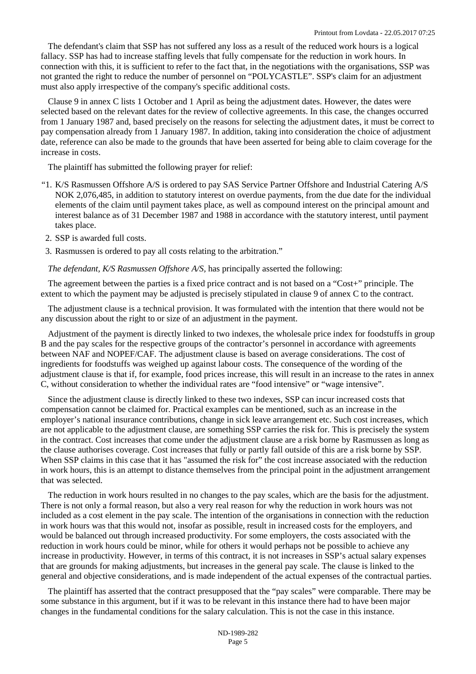The defendant's claim that SSP has not suffered any loss as a result of the reduced work hours is a logical fallacy. SSP has had to increase staffing levels that fully compensate for the reduction in work hours. In connection with this, it is sufficient to refer to the fact that, in the negotiations with the organisations, SSP was not granted the right to reduce the number of personnel on "POLYCASTLE". SSP's claim for an adjustment must also apply irrespective of the company's specific additional costs.

Clause 9 in annex C lists 1 October and 1 April as being the adjustment dates. However, the dates were selected based on the relevant dates for the review of collective agreements. In this case, the changes occurred from 1 January 1987 and, based precisely on the reasons for selecting the adjustment dates, it must be correct to pay compensation already from 1 January 1987. In addition, taking into consideration the choice of adjustment date, reference can also be made to the grounds that have been asserted for being able to claim coverage for the increase in costs.

The plaintiff has submitted the following prayer for relief:

- "1. K/S Rasmussen Offshore A/S is ordered to pay SAS Service Partner Offshore and Industrial Catering A/S NOK 2,076,485, in addition to statutory interest on overdue payments, from the due date for the individual elements of the claim until payment takes place, as well as compound interest on the principal amount and interest balance as of 31 December 1987 and 1988 in accordance with the statutory interest, until payment takes place.
- 2. SSP is awarded full costs.
- 3. Rasmussen is ordered to pay all costs relating to the arbitration."

## *The defendant, K/S Rasmussen Offshore A/S,* has principally asserted the following:

The agreement between the parties is a fixed price contract and is not based on a "Cost+" principle. The extent to which the payment may be adjusted is precisely stipulated in clause 9 of annex C to the contract.

The adjustment clause is a technical provision. It was formulated with the intention that there would not be any discussion about the right to or size of an adjustment in the payment.

Adjustment of the payment is directly linked to two indexes, the wholesale price index for foodstuffs in group B and the pay scales for the respective groups of the contractor's personnel in accordance with agreements between NAF and NOPEF/CAF. The adjustment clause is based on average considerations. The cost of ingredients for foodstuffs was weighed up against labour costs. The consequence of the wording of the adjustment clause is that if, for example, food prices increase, this will result in an increase to the rates in annex C, without consideration to whether the individual rates are "food intensive" or "wage intensive".

Since the adjustment clause is directly linked to these two indexes, SSP can incur increased costs that compensation cannot be claimed for. Practical examples can be mentioned, such as an increase in the employer's national insurance contributions, change in sick leave arrangement etc. Such cost increases, which are not applicable to the adjustment clause, are something SSP carries the risk for. This is precisely the system in the contract. Cost increases that come under the adjustment clause are a risk borne by Rasmussen as long as the clause authorises coverage. Cost increases that fully or partly fall outside of this are a risk borne by SSP. When SSP claims in this case that it has "assumed the risk for" the cost increase associated with the reduction in work hours, this is an attempt to distance themselves from the principal point in the adjustment arrangement that was selected.

The reduction in work hours resulted in no changes to the pay scales, which are the basis for the adjustment. There is not only a formal reason, but also a very real reason for why the reduction in work hours was not included as a cost element in the pay scale. The intention of the organisations in connection with the reduction in work hours was that this would not, insofar as possible, result in increased costs for the employers, and would be balanced out through increased productivity. For some employers, the costs associated with the reduction in work hours could be minor, while for others it would perhaps not be possible to achieve any increase in productivity. However, in terms of this contract, it is not increases in SSP's actual salary expenses that are grounds for making adjustments, but increases in the general pay scale. The clause is linked to the general and objective considerations, and is made independent of the actual expenses of the contractual parties.

The plaintiff has asserted that the contract presupposed that the "pay scales" were comparable. There may be some substance in this argument, but if it was to be relevant in this instance there had to have been major changes in the fundamental conditions for the salary calculation. This is not the case in this instance.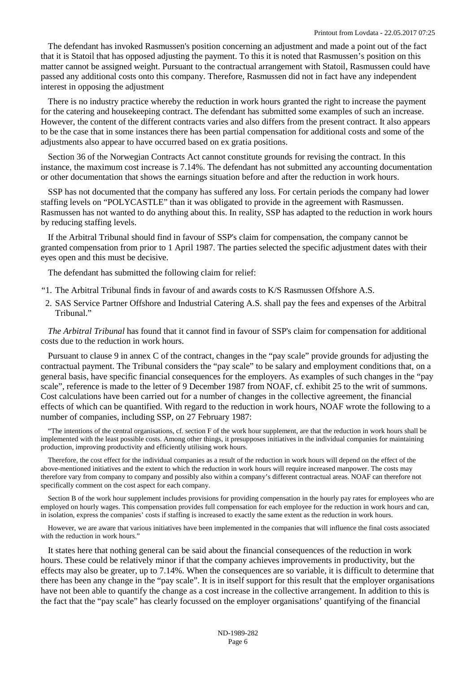The defendant has invoked Rasmussen's position concerning an adjustment and made a point out of the fact that it is Statoil that has opposed adjusting the payment. To this it is noted that Rasmussen's position on this matter cannot be assigned weight. Pursuant to the contractual arrangement with Statoil, Rasmussen could have passed any additional costs onto this company. Therefore, Rasmussen did not in fact have any independent interest in opposing the adjustment

There is no industry practice whereby the reduction in work hours granted the right to increase the payment for the catering and housekeeping contract. The defendant has submitted some examples of such an increase. However, the content of the different contracts varies and also differs from the present contract. It also appears to be the case that in some instances there has been partial compensation for additional costs and some of the adjustments also appear to have occurred based on ex gratia positions.

[Section 36 of the Norwegian Contracts Act](http://www.lovdata.no/pro#reference/lov/1918-05-31-4/�36) cannot constitute grounds for revising the contract. In this instance, the maximum cost increase is 7.14%. The defendant has not submitted any accounting documentation or other documentation that shows the earnings situation before and after the reduction in work hours.

SSP has not documented that the company has suffered any loss. For certain periods the company had lower staffing levels on "POLYCASTLE" than it was obligated to provide in the agreement with Rasmussen. Rasmussen has not wanted to do anything about this. In reality, SSP has adapted to the reduction in work hours by reducing staffing levels.

If the Arbitral Tribunal should find in favour of SSP's claim for compensation, the company cannot be granted compensation from prior to 1 April 1987. The parties selected the specific adjustment dates with their eyes open and this must be decisive.

The defendant has submitted the following claim for relief:

- "1. The Arbitral Tribunal finds in favour of and awards costs to K/S Rasmussen Offshore A.S.
- 2. SAS Service Partner Offshore and Industrial Catering A.S. shall pay the fees and expenses of the Arbitral Tribunal."

*The Arbitral Tribunal* has found that it cannot find in favour of SSP's claim for compensation for additional costs due to the reduction in work hours.

Pursuant to clause 9 in annex C of the contract, changes in the "pay scale" provide grounds for adjusting the contractual payment. The Tribunal considers the "pay scale" to be salary and employment conditions that, on a general basis, have specific financial consequences for the employers. As examples of such changes in the "pay scale", reference is made to the letter of 9 December 1987 from NOAF, cf. exhibit 25 to the writ of summons. Cost calculations have been carried out for a number of changes in the collective agreement, the financial effects of which can be quantified. With regard to the reduction in work hours, NOAF wrote the following to a number of companies, including SSP, on 27 February 1987:

"The intentions of the central organisations, cf. section F of the work hour supplement, are that the reduction in work hours shall be implemented with the least possible costs. Among other things, it presupposes initiatives in the individual companies for maintaining production, improving productivity and efficiently utilising work hours.

Therefore, the cost effect for the individual companies as a result of the reduction in work hours will depend on the effect of the above-mentioned initiatives and the extent to which the reduction in work hours will require increased manpower. The costs may therefore vary from company to company and possibly also within a company's different contractual areas. NOAF can therefore not specifically comment on the cost aspect for each company.

Section B of the work hour supplement includes provisions for providing compensation in the hourly pay rates for employees who are employed on hourly wages. This compensation provides full compensation for each employee for the reduction in work hours and can, in isolation, express the companies' costs if staffing is increased to exactly the same extent as the reduction in work hours.

However, we are aware that various initiatives have been implemented in the companies that will influence the final costs associated with the reduction in work hours."

It states here that nothing general can be said about the financial consequences of the reduction in work hours. These could be relatively minor if that the company achieves improvements in productivity, but the effects may also be greater, up to 7.14%. When the consequences are so variable, it is difficult to determine that there has been any change in the "pay scale". It is in itself support for this result that the employer organisations have not been able to quantify the change as a cost increase in the collective arrangement. In addition to this is the fact that the "pay scale" has clearly focussed on the employer organisations' quantifying of the financial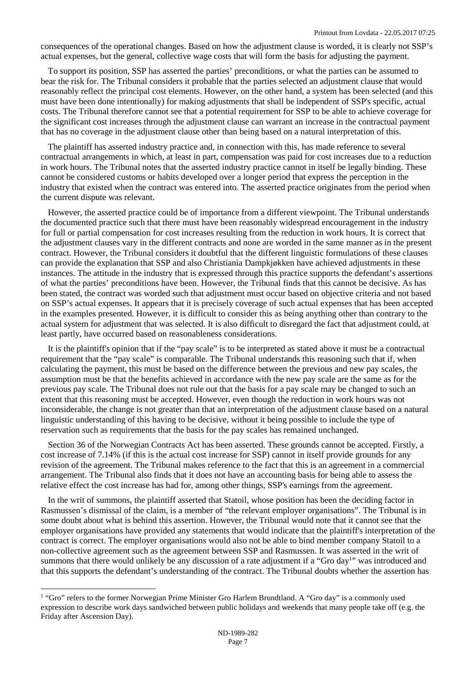consequences of the operational changes. Based on how the adjustment clause is worded, it is clearly not SSP's actual expenses, but the general, collective wage costs that will form the basis for adjusting the payment.

To support its position, SSP has asserted the parties' preconditions, or what the parties can be assumed to bear the risk for. The Tribunal considers it probable that the parties selected an adjustment clause that would reasonably reflect the principal cost elements. However, on the other hand, a system has been selected (and this must have been done intentionally) for making adjustments that shall be independent of SSP's specific, actual costs. The Tribunal therefore cannot see that a potential requirement for SSP to be able to achieve coverage for the significant cost increases through the adjustment clause can warrant an increase in the contractual payment that has no coverage in the adjustment clause other than being based on a natural interpretation of this.

The plaintiff has asserted industry practice and, in connection with this, has made reference to several contractual arrangements in which, at least in part, compensation was paid for cost increases due to a reduction in work hours. The Tribunal notes that the asserted industry practice cannot in itself be legally binding. These cannot be considered customs or habits developed over a longer period that express the perception in the industry that existed when the contract was entered into. The asserted practice originates from the period when the current dispute was relevant.

However, the asserted practice could be of importance from a different viewpoint. The Tribunal understands the documented practice such that there must have been reasonably widespread encouragement in the industry for full or partial compensation for cost increases resulting from the reduction in work hours. It is correct that the adjustment clauses vary in the different contracts and none are worded in the same manner as in the present contract. However, the Tribunal considers it doubtful that the different linguistic formulations of these clauses can provide the explanation that SSP and also Christiania Dampkjøkken have achieved adjustments in these instances. The attitude in the industry that is expressed through this practice supports the defendant's assertions of what the parties' preconditions have been. However, the Tribunal finds that this cannot be decisive. As has been stated, the contract was worded such that adjustment must occur based on objective criteria and not based on SSP's actual expenses. It appears that it is precisely coverage of such actual expenses that has been accepted in the examples presented. However, it is difficult to consider this as being anything other than contrary to the actual system for adjustment that was selected. It is also difficult to disregard the fact that adjustment could, at least partly, have occurred based on reasonableness considerations.

It is the plaintiff's opinion that if the "pay scale" is to be interpreted as stated above it must be a contractual requirement that the "pay scale" is comparable. The Tribunal understands this reasoning such that if, when calculating the payment, this must be based on the difference between the previous and new pay scales, the assumption must be that the benefits achieved in accordance with the new pay scale are the same as for the previous pay scale. The Tribunal does not rule out that the basis for a pay scale may be changed to such an extent that this reasoning must be accepted. However, even though the reduction in work hours was not inconsiderable, the change is not greater than that an interpretation of the adjustment clause based on a natural linguistic understanding of this having to be decisive, without it being possible to include the type of reservation such as requirements that the basis for the pay scales has remained unchanged.

[Section 36 of the Norwegian Contracts Act](http://www.lovdata.no/pro#reference/lov/1918-05-31-4/�36) has been asserted. These grounds cannot be accepted. Firstly, a cost increase of 7.14% (if this is the actual cost increase for SSP) cannot in itself provide grounds for any revision of the agreement. The Tribunal makes reference to the fact that this is an agreement in a commercial arrangement. The Tribunal also finds that it does not have an accounting basis for being able to assess the relative effect the cost increase has had for, among other things, SSP's earnings from the agreement.

In the writ of summons, the plaintiff asserted that Statoil, whose position has been the deciding factor in Rasmussen's dismissal of the claim, is a member of "the relevant employer organisations". The Tribunal is in some doubt about what is behind this assertion. However, the Tribunal would note that it cannot see that the employer organisations have provided any statements that would indicate that the plaintiff's interpretation of the contract is correct. The employer organisations would also not be able to bind member company Statoil to a non-collective agreement such as the agreement between SSP and Rasmussen. It was a[sse](#page-6-0)rted in the writ of summons that there would unlikely be any discussion of a rate adjustment if a "Gro day<sup>1</sup>" was introduced and that this supports the defendant's understanding of the contract. The Tribunal doubts whether the assertion has

<span id="page-6-0"></span><sup>&</sup>lt;sup>1</sup> "Gro" refers to the former Norwegian Prime Minister Gro Harlem Brundtland. A "Gro day" is a commonly used expression to describe work days sandwiched between public holidays and weekends that many people take off (e.g. the Friday after Ascension Day).